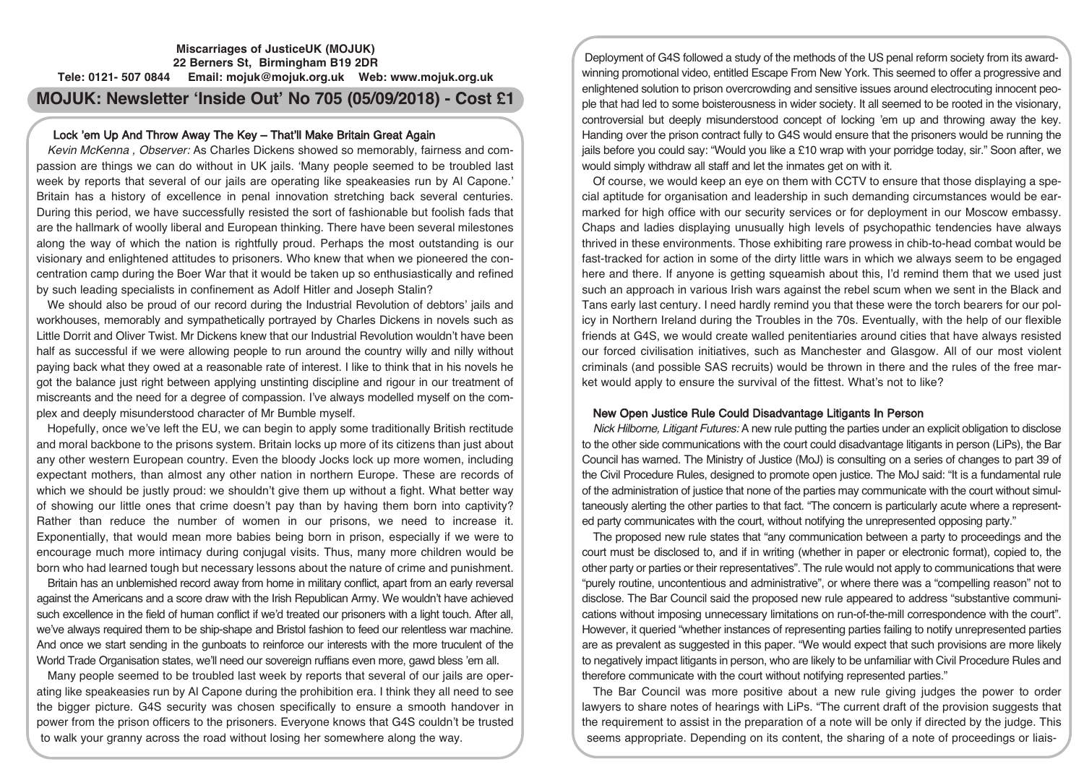# **Miscarriages of JusticeUK (MOJUK) 22 Berners St, Birmingham B19 2DR Tele: 0121- 507 0844 Email: mojuk@mojuk.org.uk Web: www.mojuk.org.uk**

# **MOJUK: Newsletter 'Inside Out' No 705 (05/09/2018) - Cost £1**

# Lock 'em Up And Throw Away The Key – That'll Make Britain Great Again

Kevin McKenna , Observer: As Charles Dickens showed so memorably, fairness and compassion are things we can do without in UK jails. 'Many people seemed to be troubled last week by reports that several of our jails are operating like speakeasies run by Al Capone.' Britain has a history of excellence in penal innovation stretching back several centuries. During this period, we have successfully resisted the sort of fashionable but foolish fads that are the hallmark of woolly liberal and European thinking. There have been several milestones along the way of which the nation is rightfully proud. Perhaps the most outstanding is our visionary and enlightened attitudes to prisoners. Who knew that when we pioneered the concentration camp during the Boer War that it would be taken up so enthusiastically and refined by such leading specialists in confinement as Adolf Hitler and Joseph Stalin?

We should also be proud of our record during the Industrial Revolution of debtors' jails and workhouses, memorably and sympathetically portrayed by Charles Dickens in novels such as Little Dorrit and Oliver Twist. Mr Dickens knew that our Industrial Revolution wouldn't have been half as successful if we were allowing people to run around the country willy and nilly without paying back what they owed at a reasonable rate of interest. I like to think that in his novels he got the balance just right between applying unstinting discipline and rigour in our treatment of miscreants and the need for a degree of compassion. I've always modelled myself on the complex and deeply misunderstood character of Mr Bumble myself.

Hopefully, once we've left the EU, we can begin to apply some traditionally British rectitude and moral backbone to the prisons system. Britain locks up more of its citizens than just about any other western European country. Even the bloody Jocks lock up more women, including expectant mothers, than almost any other nation in northern Europe. These are records of which we should be justly proud: we shouldn't give them up without a fight. What better way of showing our little ones that crime doesn't pay than by having them born into captivity? Rather than reduce the number of women in our prisons, we need to increase it. Exponentially, that would mean more babies being born in prison, especially if we were to encourage much more intimacy during conjugal visits. Thus, many more children would be born who had learned tough but necessary lessons about the nature of crime and punishment.

Britain has an unblemished record away from home in military conflict, apart from an early reversal against the Americans and a score draw with the Irish Republican Army. We wouldn't have achieved such excellence in the field of human conflict if we'd treated our prisoners with a light touch. After all, we've always required them to be ship-shape and Bristol fashion to feed our relentless war machine. And once we start sending in the gunboats to reinforce our interests with the more truculent of the World Trade Organisation states, we'll need our sovereign ruffians even more, gawd bless 'em all.

Many people seemed to be troubled last week by reports that several of our jails are operating like speakeasies run by Al Capone during the prohibition era. I think they all need to see the bigger picture. G4S security was chosen specifically to ensure a smooth handover in power from the prison officers to the prisoners. Everyone knows that G4S couldn't be trusted to walk your granny across the road without losing her somewhere along the way.

Deployment of G4S followed a study of the methods of the US penal reform society from its awardwinning promotional video, entitled Escape From New York. This seemed to offer a progressive and enlightened solution to prison overcrowding and sensitive issues around electrocuting innocent people that had led to some boisterousness in wider society. It all seemed to be rooted in the visionary, controversial but deeply misunderstood concept of locking 'em up and throwing away the key. Handing over the prison contract fully to G4S would ensure that the prisoners would be running the jails before you could say: "Would you like a £10 wrap with your porridge today, sir." Soon after, we would simply withdraw all staff and let the inmates get on with it.

Of course, we would keep an eye on them with CCTV to ensure that those displaying a special aptitude for organisation and leadership in such demanding circumstances would be earmarked for high office with our security services or for deployment in our Moscow embassy. Chaps and ladies displaying unusually high levels of psychopathic tendencies have always thrived in these environments. Those exhibiting rare prowess in chib-to-head combat would be fast-tracked for action in some of the dirty little wars in which we always seem to be engaged here and there. If anyone is getting squeamish about this, I'd remind them that we used just such an approach in various Irish wars against the rebel scum when we sent in the Black and Tans early last century. I need hardly remind you that these were the torch bearers for our policy in Northern Ireland during the Troubles in the 70s. Eventually, with the help of our flexible friends at G4S, we would create walled penitentiaries around cities that have always resisted our forced civilisation initiatives, such as Manchester and Glasgow. All of our most violent criminals (and possible SAS recruits) would be thrown in there and the rules of the free market would apply to ensure the survival of the fittest. What's not to like?

# New Open Justice Rule Could Disadvantage Litigants In Person

Nick Hilborne, Litigant Futures: A new rule putting the parties under an explicit obligation to disclose to the other side communications with the court could disadvantage litigants in person (LiPs), the Bar Council has warned. The Ministry of Justice (MoJ) is consulting on a series of changes to part 39 of the Civil Procedure Rules, designed to promote open justice. The MoJ said: "It is a fundamental rule of the administration of justice that none of the parties may communicate with the court without simultaneously alerting the other parties to that fact. "The concern is particularly acute where a represented party communicates with the court, without notifying the unrepresented opposing party."

The proposed new rule states that "any communication between a party to proceedings and the court must be disclosed to, and if in writing (whether in paper or electronic format), copied to, the other party or parties or their representatives". The rule would not apply to communications that were "purely routine, uncontentious and administrative", or where there was a "compelling reason" not to disclose. The Bar Council said the proposed new rule appeared to address "substantive communications without imposing unnecessary limitations on run-of-the-mill correspondence with the court". However, it queried "whether instances of representing parties failing to notify unrepresented parties are as prevalent as suggested in this paper. "We would expect that such provisions are more likely to negatively impact litigants in person, who are likely to be unfamiliar with Civil Procedure Rules and therefore communicate with the court without notifying represented parties."

The Bar Council was more positive about a new rule giving judges the power to order lawyers to share notes of hearings with LiPs. "The current draft of the provision suggests that the requirement to assist in the preparation of a note will be only if directed by the judge. This seems appropriate. Depending on its content, the sharing of a note of proceedings or liais-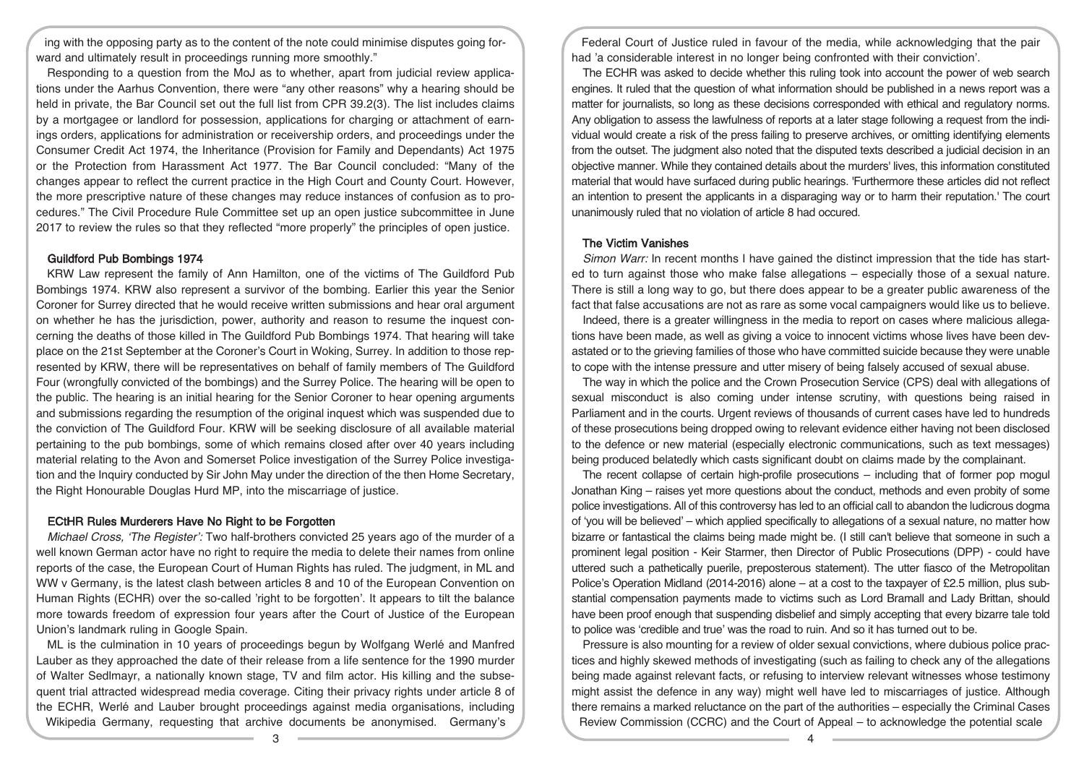ing with the opposing party as to the content of the note could minimise disputes going forward and ultimately result in proceedings running more smoothly."

Responding to a question from the MoJ as to whether, apart from judicial review applications under the Aarhus Convention, there were "any other reasons" why a hearing should be held in private, the Bar Council set out the full list from CPR 39.2(3). The list includes claims by a mortgagee or landlord for possession, applications for charging or attachment of earnings orders, applications for administration or receivership orders, and proceedings under the Consumer Credit Act 1974, the Inheritance (Provision for Family and Dependants) Act 1975 or the Protection from Harassment Act 1977. The Bar Council concluded: "Many of the changes appear to reflect the current practice in the High Court and County Court. However, the more prescriptive nature of these changes may reduce instances of confusion as to procedures." The Civil Procedure Rule Committee set up an open justice subcommittee in June 2017 to review the rules so that they reflected "more properly" the principles of open justice.

#### Guildford Pub Bombings 1974

KRW Law represent the family of Ann Hamilton, one of the victims of The Guildford Pub Bombings 1974. KRW also represent a survivor of the bombing. Earlier this year the Senior Coroner for Surrey directed that he would receive written submissions and hear oral argument on whether he has the jurisdiction, power, authority and reason to resume the inquest concerning the deaths of those killed in The Guildford Pub Bombings 1974. That hearing will take place on the 21st September at the Coroner's Court in Woking, Surrey. In addition to those represented by KRW, there will be representatives on behalf of family members of The Guildford Four (wrongfully convicted of the bombings) and the Surrey Police. The hearing will be open to the public. The hearing is an initial hearing for the Senior Coroner to hear opening arguments and submissions regarding the resumption of the original inquest which was suspended due to the conviction of The Guildford Four. KRW will be seeking disclosure of all available material pertaining to the pub bombings, some of which remains closed after over 40 years including material relating to the Avon and Somerset Police investigation of the Surrey Police investigation and the Inquiry conducted by Sir John May under the direction of the then Home Secretary, the Right Honourable Douglas Hurd MP, into the miscarriage of justice.

## ECtHR Rules Murderers Have No Right to be Forgotten

Michael Cross, 'The Register': Two half-brothers convicted 25 years ago of the murder of a well known German actor have no right to require the media to delete their names from online reports of the case, the European Court of Human Rights has ruled. The judgment, in ML and WW v Germany, is the latest clash between articles 8 and 10 of the European Convention on Human Rights (ECHR) over the so-called 'right to be forgotten'. It appears to tilt the balance more towards freedom of expression four years after the Court of Justice of the European Union's landmark ruling in Google Spain.

ML is the culmination in 10 years of proceedings begun by Wolfgang Werlé and Manfred Lauber as they approached the date of their release from a life sentence for the 1990 murder of Walter Sedlmayr, a nationally known stage, TV and film actor. His killing and the subsequent trial attracted widespread media coverage. Citing their privacy rights under article 8 of the ECHR, Werlé and Lauber brought proceedings against media organisations, including Wikipedia Germany, requesting that archive documents be anonymised. Germany's

Federal Court of Justice ruled in favour of the media, while acknowledging that the pair had 'a considerable interest in no longer being confronted with their conviction'.

The ECHR was asked to decide whether this ruling took into account the power of web search engines. It ruled that the question of what information should be published in a news report was a matter for journalists, so long as these decisions corresponded with ethical and regulatory norms. Any obligation to assess the lawfulness of reports at a later stage following a request from the individual would create a risk of the press failing to preserve archives, or omitting identifying elements from the outset. The judgment also noted that the disputed texts described a judicial decision in an objective manner. While they contained details about the murders' lives, this information constituted material that would have surfaced during public hearings. 'Furthermore these articles did not reflect an intention to present the applicants in a disparaging way or to harm their reputation.' The court unanimously ruled that no violation of article 8 had occured.

# The Victim Vanishes

Simon Warr: In recent months I have gained the distinct impression that the tide has started to turn against those who make false allegations – especially those of a sexual nature. There is still a long way to go, but there does appear to be a greater public awareness of the fact that false accusations are not as rare as some vocal campaigners would like us to believe.

Indeed, there is a greater willingness in the media to report on cases where malicious allegations have been made, as well as giving a voice to innocent victims whose lives have been devastated or to the grieving families of those who have committed suicide because they were unable to cope with the intense pressure and utter misery of being falsely accused of sexual abuse.

The way in which the police and the Crown Prosecution Service (CPS) deal with allegations of sexual misconduct is also coming under intense scrutiny, with questions being raised in Parliament and in the courts. Urgent reviews of thousands of current cases have led to hundreds of these prosecutions being dropped owing to relevant evidence either having not been disclosed to the defence or new material (especially electronic communications, such as text messages) being produced belatedly which casts significant doubt on claims made by the complainant.

The recent collapse of certain high-profile prosecutions – including that of former pop mogul Jonathan King – raises yet more questions about the conduct, methods and even probity of some police investigations. All of this controversy has led to an official call to abandon the ludicrous dogma of 'you will be believed' – which applied specifically to allegations of a sexual nature, no matter how bizarre or fantastical the claims being made might be. (I still can't believe that someone in such a prominent legal position - Keir Starmer, then Director of Public Prosecutions (DPP) - could have uttered such a pathetically puerile, preposterous statement). The utter fiasco of the Metropolitan Police's Operation Midland (2014-2016) alone – at a cost to the taxpayer of £2.5 million, plus substantial compensation payments made to victims such as Lord Bramall and Lady Brittan, should have been proof enough that suspending disbelief and simply accepting that every bizarre tale told to police was 'credible and true' was the road to ruin. And so it has turned out to be.

Pressure is also mounting for a review of older sexual convictions, where dubious police practices and highly skewed methods of investigating (such as failing to check any of the allegations being made against relevant facts, or refusing to interview relevant witnesses whose testimony might assist the defence in any way) might well have led to miscarriages of justice. Although there remains a marked reluctance on the part of the authorities – especially the Criminal Cases Review Commission (CCRC) and the Court of Appeal – to acknowledge the potential scale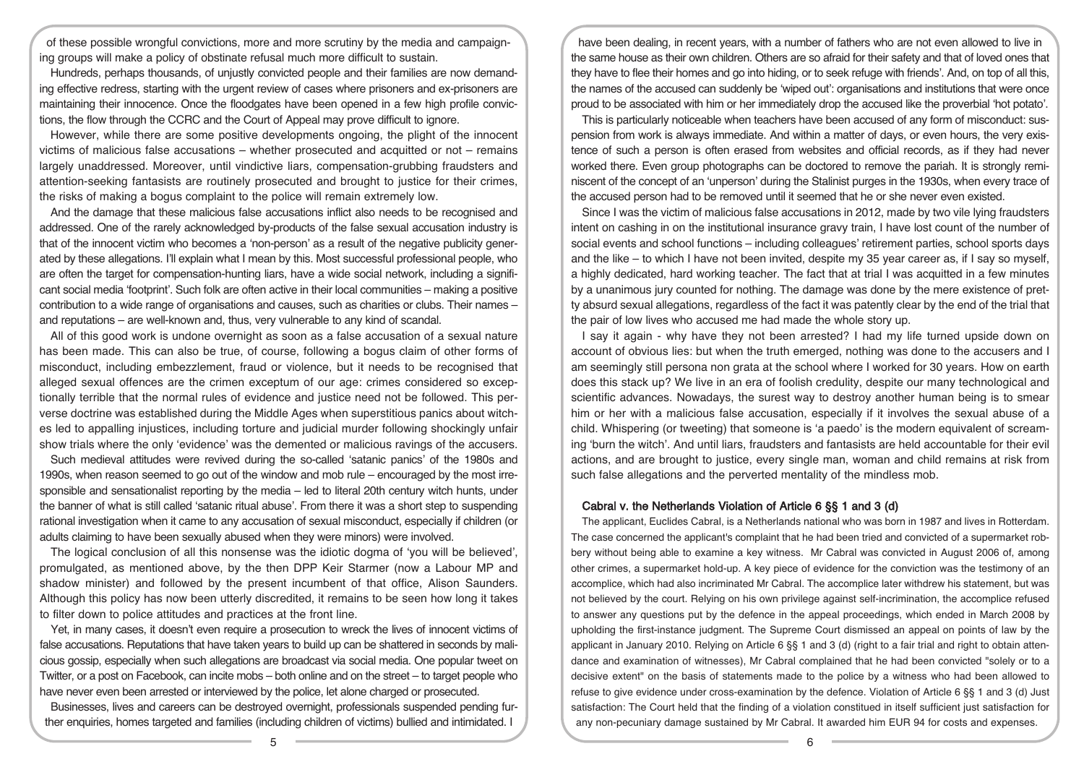of these possible wrongful convictions, more and more scrutiny by the media and campaigning groups will make a policy of obstinate refusal much more difficult to sustain.

Hundreds, perhaps thousands, of unjustly convicted people and their families are now demanding effective redress, starting with the urgent review of cases where prisoners and ex-prisoners are maintaining their innocence. Once the floodgates have been opened in a few high profile convictions, the flow through the CCRC and the Court of Appeal may prove difficult to ignore.

However, while there are some positive developments ongoing, the plight of the innocent victims of malicious false accusations – whether prosecuted and acquitted or not – remains largely unaddressed. Moreover, until vindictive liars, compensation-grubbing fraudsters and attention-seeking fantasists are routinely prosecuted and brought to justice for their crimes, the risks of making a bogus complaint to the police will remain extremely low.

And the damage that these malicious false accusations inflict also needs to be recognised and addressed. One of the rarely acknowledged by-products of the false sexual accusation industry is that of the innocent victim who becomes a 'non-person' as a result of the negative publicity generated by these allegations. I'll explain what I mean by this. Most successful professional people, who are often the target for compensation-hunting liars, have a wide social network, including a significant social media 'footprint'. Such folk are often active in their local communities – making a positive contribution to a wide range of organisations and causes, such as charities or clubs. Their names – and reputations – are well-known and, thus, very vulnerable to any kind of scandal.

All of this good work is undone overnight as soon as a false accusation of a sexual nature has been made. This can also be true, of course, following a bogus claim of other forms of misconduct, including embezzlement, fraud or violence, but it needs to be recognised that alleged sexual offences are the crimen exceptum of our age: crimes considered so exceptionally terrible that the normal rules of evidence and justice need not be followed. This perverse doctrine was established during the Middle Ages when superstitious panics about witches led to appalling injustices, including torture and judicial murder following shockingly unfair show trials where the only 'evidence' was the demented or malicious ravings of the accusers.

Such medieval attitudes were revived during the so-called 'satanic panics' of the 1980s and 1990s, when reason seemed to go out of the window and mob rule – encouraged by the most irresponsible and sensationalist reporting by the media – led to literal 20th century witch hunts, under the banner of what is still called 'satanic ritual abuse'. From there it was a short step to suspending rational investigation when it came to any accusation of sexual misconduct, especially if children (or adults claiming to have been sexually abused when they were minors) were involved.

The logical conclusion of all this nonsense was the idiotic dogma of 'you will be believed', promulgated, as mentioned above, by the then DPP Keir Starmer (now a Labour MP and shadow minister) and followed by the present incumbent of that office, Alison Saunders. Although this policy has now been utterly discredited, it remains to be seen how long it takes to filter down to police attitudes and practices at the front line.

Yet, in many cases, it doesn't even require a prosecution to wreck the lives of innocent victims of false accusations. Reputations that have taken years to build up can be shattered in seconds by malicious gossip, especially when such allegations are broadcast via social media. One popular tweet on Twitter, or a post on Facebook, can incite mobs – both online and on the street – to target people who have never even been arrested or interviewed by the police, let alone charged or prosecuted.

Businesses, lives and careers can be destroyed overnight, professionals suspended pending further enquiries, homes targeted and families (including children of victims) bullied and intimidated. I

have been dealing, in recent years, with a number of fathers who are not even allowed to live in the same house as their own children. Others are so afraid for their safety and that of loved ones that they have to flee their homes and go into hiding, or to seek refuge with friends'. And, on top of all this, the names of the accused can suddenly be 'wiped out': organisations and institutions that were once proud to be associated with him or her immediately drop the accused like the proverbial 'hot potato'.

This is particularly noticeable when teachers have been accused of any form of misconduct: suspension from work is always immediate. And within a matter of days, or even hours, the very existence of such a person is often erased from websites and official records, as if they had never worked there. Even group photographs can be doctored to remove the pariah. It is strongly reminiscent of the concept of an 'unperson' during the Stalinist purges in the 1930s, when every trace of the accused person had to be removed until it seemed that he or she never even existed.

Since I was the victim of malicious false accusations in 2012, made by two vile lying fraudsters intent on cashing in on the institutional insurance gravy train, I have lost count of the number of social events and school functions – including colleagues' retirement parties, school sports days and the like – to which I have not been invited, despite my 35 year career as, if I say so myself, a highly dedicated, hard working teacher. The fact that at trial I was acquitted in a few minutes by a unanimous jury counted for nothing. The damage was done by the mere existence of pretty absurd sexual allegations, regardless of the fact it was patently clear by the end of the trial that the pair of low lives who accused me had made the whole story up.

I say it again - why have they not been arrested? I had my life turned upside down on account of obvious lies: but when the truth emerged, nothing was done to the accusers and I am seemingly still persona non grata at the school where I worked for 30 years. How on earth does this stack up? We live in an era of foolish credulity, despite our many technological and scientific advances. Nowadays, the surest way to destroy another human being is to smear him or her with a malicious false accusation, especially if it involves the sexual abuse of a child. Whispering (or tweeting) that someone is 'a paedo' is the modern equivalent of screaming 'burn the witch'. And until liars, fraudsters and fantasists are held accountable for their evil actions, and are brought to justice, every single man, woman and child remains at risk from such false allegations and the perverted mentality of the mindless mob.

#### Cabral v. the Netherlands Violation of Article 6 §§ 1 and 3 (d)

The applicant, Euclides Cabral, is a Netherlands national who was born in 1987 and lives in Rotterdam. The case concerned the applicant's complaint that he had been tried and convicted of a supermarket robbery without being able to examine a key witness. Mr Cabral was convicted in August 2006 of, among other crimes, a supermarket hold-up. A key piece of evidence for the conviction was the testimony of an accomplice, which had also incriminated Mr Cabral. The accomplice later withdrew his statement, but was not believed by the court. Relying on his own privilege against self-incrimination, the accomplice refused to answer any questions put by the defence in the appeal proceedings, which ended in March 2008 by upholding the first-instance judgment. The Supreme Court dismissed an appeal on points of law by the applicant in January 2010. Relying on Article 6 §§ 1 and 3 (d) (right to a fair trial and right to obtain attendance and examination of witnesses), Mr Cabral complained that he had been convicted "solely or to a decisive extent" on the basis of statements made to the police by a witness who had been allowed to refuse to give evidence under cross-examination by the defence. Violation of Article 6 §§ 1 and 3 (d) Just satisfaction: The Court held that the finding of a violation constitued in itself sufficient just satisfaction for any non-pecuniary damage sustained by Mr Cabral. It awarded him EUR 94 for costs and expenses.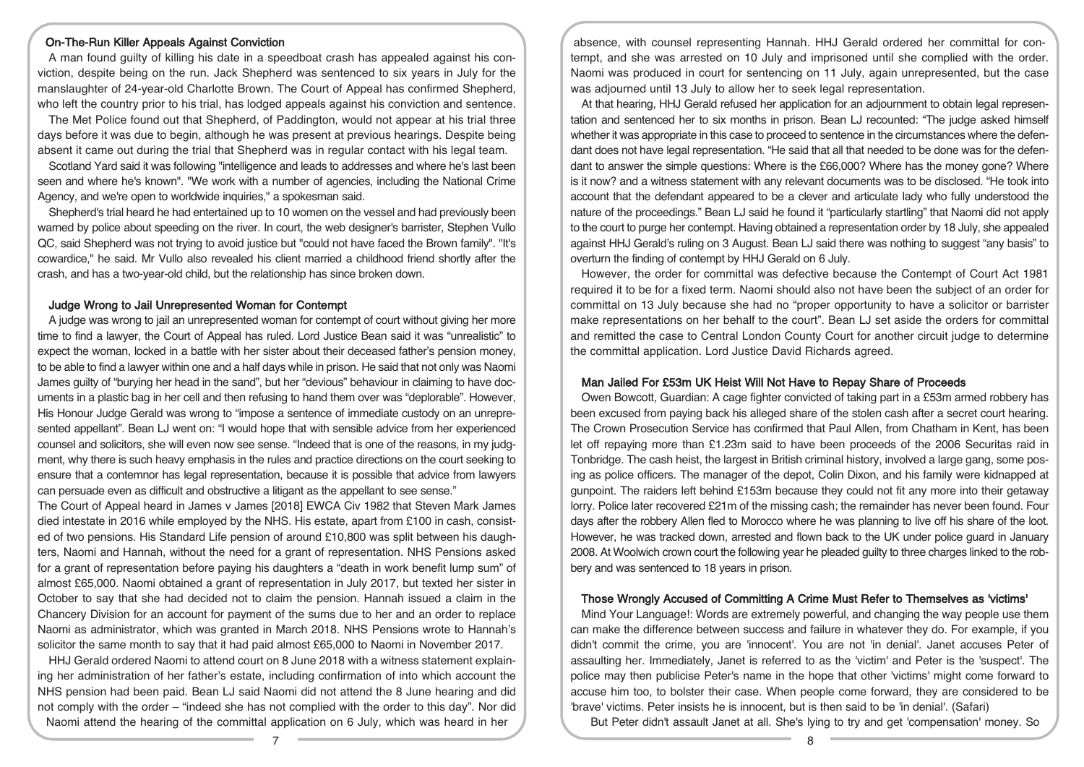# On-The-Run Killer Appeals Against Conviction

A man found guilty of killing his date in a speedboat crash has appealed against his conviction, despite being on the run. Jack Shepherd was sentenced to six years in July for the manslaughter of 24-year-old Charlotte Brown. The Court of Appeal has confirmed Shepherd, who left the country prior to his trial, has lodged appeals against his conviction and sentence.

The Met Police found out that Shepherd, of Paddington, would not appear at his trial three days before it was due to begin, although he was present at previous hearings. Despite being absent it came out during the trial that Shepherd was in regular contact with his legal team.

Scotland Yard said it was following "intelligence and leads to addresses and where he's last been seen and where he's known". "We work with a number of agencies, including the National Crime Agency, and we're open to worldwide inquiries," a spokesman said.

Shepherd's trial heard he had entertained up to 10 women on the vessel and had previously been warned by police about speeding on the river. In court, the web designer's barrister, Stephen Vullo QC, said Shepherd was not trying to avoid justice but "could not have faced the Brown family". "It's cowardice," he said. Mr Vullo also revealed his client married a childhood friend shortly after the crash, and has a two-year-old child, but the relationship has since broken down.

# Judge Wrong to Jail Unrepresented Woman for Contempt

A judge was wrong to jail an unrepresented woman for contempt of court without giving her more time to find a lawyer, the Court of Appeal has ruled. Lord Justice Bean said it was "unrealistic" to expect the woman, locked in a battle with her sister about their deceased father's pension money, to be able to find a lawyer within one and a half days while in prison. He said that not only was Naomi James guilty of "burying her head in the sand", but her "devious" behaviour in claiming to have documents in a plastic bag in her cell and then refusing to hand them over was "deplorable". However, His Honour Judge Gerald was wrong to "impose a sentence of immediate custody on an unrepresented appellant". Bean LJ went on: "I would hope that with sensible advice from her experienced counsel and solicitors, she will even now see sense. "Indeed that is one of the reasons, in my judgment, why there is such heavy emphasis in the rules and practice directions on the court seeking to ensure that a contemnor has legal representation, because it is possible that advice from lawyers can persuade even as difficult and obstructive a litigant as the appellant to see sense."

The Court of Appeal heard in James v James [2018] EWCA Civ 1982 that Steven Mark James died intestate in 2016 while employed by the NHS. His estate, apart from £100 in cash, consisted of two pensions. His Standard Life pension of around £10,800 was split between his daughters, Naomi and Hannah, without the need for a grant of representation. NHS Pensions asked for a grant of representation before paying his daughters a "death in work benefit lump sum" of almost £65,000. Naomi obtained a grant of representation in July 2017, but texted her sister in October to say that she had decided not to claim the pension. Hannah issued a claim in the Chancery Division for an account for payment of the sums due to her and an order to replace Naomi as administrator, which was granted in March 2018. NHS Pensions wrote to Hannah's solicitor the same month to say that it had paid almost £65,000 to Naomi in November 2017.

HHJ Gerald ordered Naomi to attend court on 8 June 2018 with a witness statement explaining her administration of her father's estate, including confirmation of into which account the NHS pension had been paid. Bean LJ said Naomi did not attend the 8 June hearing and did not comply with the order – "indeed she has not complied with the order to this day". Nor did Naomi attend the hearing of the committal application on 6 July, which was heard in her

absence, with counsel representing Hannah. HHJ Gerald ordered her committal for contempt, and she was arrested on 10 July and imprisoned until she complied with the order. Naomi was produced in court for sentencing on 11 July, again unrepresented, but the case was adjourned until 13 July to allow her to seek legal representation.

At that hearing, HHJ Gerald refused her application for an adjournment to obtain legal representation and sentenced her to six months in prison. Bean LJ recounted: "The judge asked himself whether it was appropriate in this case to proceed to sentence in the circumstances where the defendant does not have legal representation. "He said that all that needed to be done was for the defendant to answer the simple questions: Where is the £66,000? Where has the money gone? Where is it now? and a witness statement with any relevant documents was to be disclosed. "He took into account that the defendant appeared to be a clever and articulate lady who fully understood the nature of the proceedings." Bean LJ said he found it "particularly startling" that Naomi did not apply to the court to purge her contempt. Having obtained a representation order by 18 July, she appealed against HHJ Gerald's ruling on 3 August. Bean LJ said there was nothing to suggest "any basis" to overturn the finding of contempt by HHJ Gerald on 6 July.

However, the order for committal was defective because the Contempt of Court Act 1981 required it to be for a fixed term. Naomi should also not have been the subject of an order for committal on 13 July because she had no "proper opportunity to have a solicitor or barrister make representations on her behalf to the court". Bean LJ set aside the orders for committal and remitted the case to Central London County Court for another circuit judge to determine the committal application. Lord Justice David Richards agreed.

#### Man Jailed For £53m UK Heist Will Not Have to Repay Share of Proceeds

Owen Bowcott, Guardian: A cage fighter convicted of taking part in a £53m armed robbery has been excused from paying back his alleged share of the stolen cash after a secret court hearing. The Crown Prosecution Service has confirmed that Paul Allen, from Chatham in Kent, has been let off repaying more than £1.23m said to have been proceeds of the 2006 Securitas raid in Tonbridge. The cash heist, the largest in British criminal history, involved a large gang, some posing as police officers. The manager of the depot, Colin Dixon, and his family were kidnapped at gunpoint. The raiders left behind £153m because they could not fit any more into their getaway lorry. Police later recovered £21m of the missing cash; the remainder has never been found. Four days after the robbery Allen fled to Morocco where he was planning to live off his share of the loot. However, he was tracked down, arrested and flown back to the UK under police guard in January 2008. At Woolwich crown court the following year he pleaded guilty to three charges linked to the robbery and was sentenced to 18 years in prison.

#### Those Wrongly Accused of Committing A Crime Must Refer to Themselves as 'victims'

Mind Your Language!: Words are extremely powerful, and changing the way people use them can make the difference between success and failure in whatever they do. For example, if you didn't commit the crime, you are 'innocent'. You are not 'in denial'. Janet accuses Peter of assaulting her. Immediately, Janet is referred to as the 'victim' and Peter is the 'suspect'. The police may then publicise Peter's name in the hope that other 'victims' might come forward to accuse him too, to bolster their case. When people come forward, they are considered to be 'brave' victims. Peter insists he is innocent, but is then said to be 'in denial'. (Safari)

But Peter didn't assault Janet at all. She's lying to try and get 'compensation' money. So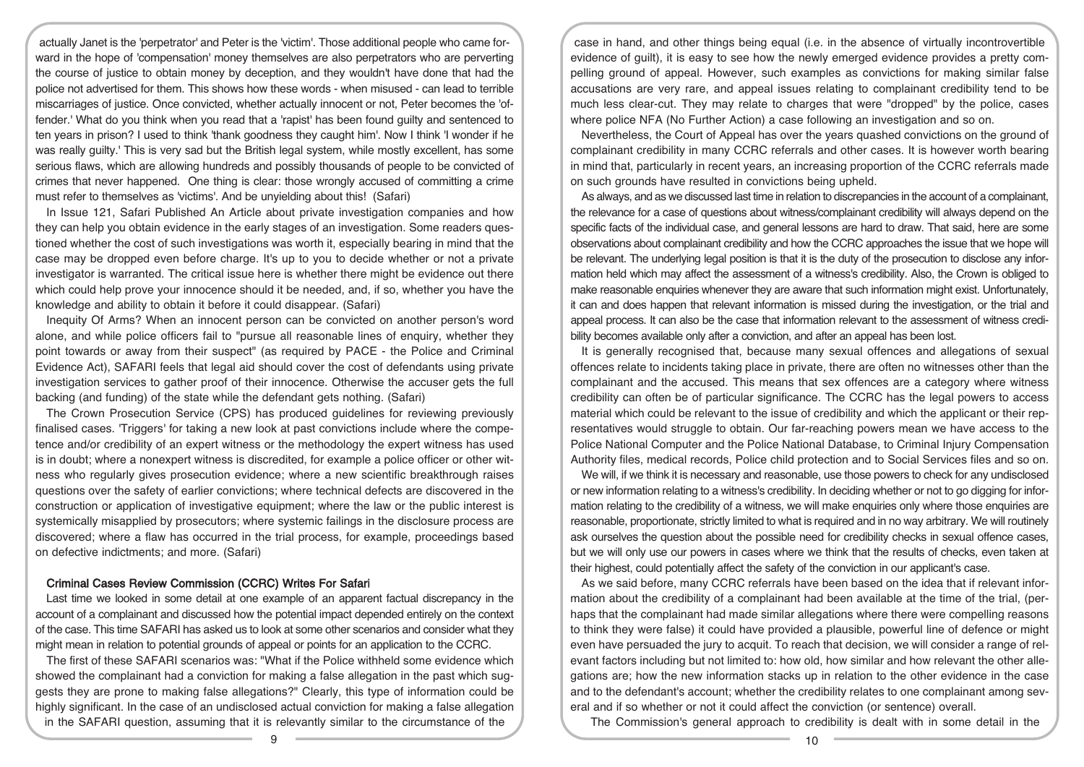actually Janet is the 'perpetrator' and Peter is the 'victim'. Those additional people who came forward in the hope of 'compensation' money themselves are also perpetrators who are perverting the course of justice to obtain money by deception, and they wouldn't have done that had the police not advertised for them. This shows how these words - when misused - can lead to terrible miscarriages of justice. Once convicted, whether actually innocent or not, Peter becomes the 'offender.' What do you think when you read that a 'rapist' has been found guilty and sentenced to ten years in prison? I used to think 'thank goodness they caught him'. Now I think 'I wonder if he was really guilty.' This is very sad but the British legal system, while mostly excellent, has some serious flaws, which are allowing hundreds and possibly thousands of people to be convicted of crimes that never happened. One thing is clear: those wrongly accused of committing a crime must refer to themselves as 'victims'. And be unyielding about this! (Safari)

In Issue 121, Safari Published An Article about private investigation companies and how they can help you obtain evidence in the early stages of an investigation. Some readers questioned whether the cost of such investigations was worth it, especially bearing in mind that the case may be dropped even before charge. It's up to you to decide whether or not a private investigator is warranted. The critical issue here is whether there might be evidence out there which could help prove your innocence should it be needed, and, if so, whether you have the knowledge and ability to obtain it before it could disappear. (Safari)

Inequity Of Arms? When an innocent person can be convicted on another person's word alone, and while police officers fail to "pursue all reasonable lines of enquiry, whether they point towards or away from their suspect" (as required by PACE - the Police and Criminal Evidence Act), SAFARI feels that legal aid should cover the cost of defendants using private investigation services to gather proof of their innocence. Otherwise the accuser gets the full backing (and funding) of the state while the defendant gets nothing. (Safari)

The Crown Prosecution Service (CPS) has produced guidelines for reviewing previously finalised cases. 'Triggers' for taking a new look at past convictions include where the competence and/or credibility of an expert witness or the methodology the expert witness has used is in doubt; where a nonexpert witness is discredited, for example a police officer or other witness who regularly gives prosecution evidence; where a new scientific breakthrough raises questions over the safety of earlier convictions; where technical defects are discovered in the construction or application of investigative equipment; where the law or the public interest is systemically misapplied by prosecutors; where systemic failings in the disclosure process are discovered; where a flaw has occurred in the trial process, for example, proceedings based on defective indictments; and more. (Safari)

# Criminal Cases Review Commission (CCRC) Writes For Safari

Last time we looked in some detail at one example of an apparent factual discrepancy in the account of a complainant and discussed how the potential impact depended entirely on the context of the case. This time SAFARI has asked us to look at some other scenarios and consider what they might mean in relation to potential grounds of appeal or points for an application to the CCRC.

The first of these SAFARI scenarios was: "What if the Police withheld some evidence which showed the complainant had a conviction for making a false allegation in the past which suggests they are prone to making false allegations?" Clearly, this type of information could be highly significant. In the case of an undisclosed actual conviction for making a false allegation in the SAFARI question, assuming that it is relevantly similar to the circumstance of the

case in hand, and other things being equal (i.e. in the absence of virtually incontrovertible evidence of guilt), it is easy to see how the newly emerged evidence provides a pretty compelling ground of appeal. However, such examples as convictions for making similar false accusations are very rare, and appeal issues relating to complainant credibility tend to be much less clear-cut. They may relate to charges that were "dropped" by the police, cases where police NFA (No Further Action) a case following an investigation and so on.

Nevertheless, the Court of Appeal has over the years quashed convictions on the ground of complainant credibility in many CCRC referrals and other cases. It is however worth bearing in mind that, particularly in recent years, an increasing proportion of the CCRC referrals made on such grounds have resulted in convictions being upheld.

As always, and as we discussed last time in relation to discrepancies in the account of a complainant, the relevance for a case of questions about witness/complainant credibility will always depend on the specific facts of the individual case, and general lessons are hard to draw. That said, here are some observations about complainant credibility and how the CCRC approaches the issue that we hope will be relevant. The underlying legal position is that it is the duty of the prosecution to disclose any information held which may affect the assessment of a witness's credibility. Also, the Crown is obliged to make reasonable enquiries whenever they are aware that such information might exist. Unfortunately, it can and does happen that relevant information is missed during the investigation, or the trial and appeal process. It can also be the case that information relevant to the assessment of witness credibility becomes available only after a conviction, and after an appeal has been lost.

It is generally recognised that, because many sexual offences and allegations of sexual offences relate to incidents taking place in private, there are often no witnesses other than the complainant and the accused. This means that sex offences are a category where witness credibility can often be of particular significance. The CCRC has the legal powers to access material which could be relevant to the issue of credibility and which the applicant or their representatives would struggle to obtain. Our far-reaching powers mean we have access to the Police National Computer and the Police National Database, to Criminal Injury Compensation Authority files, medical records, Police child protection and to Social Services files and so on.

We will, if we think it is necessary and reasonable, use those powers to check for any undisclosed or new information relating to a witness's credibility. In deciding whether or not to go digging for information relating to the credibility of a witness, we will make enquiries only where those enquiries are reasonable, proportionate, strictly limited to what is required and in no way arbitrary. We will routinely ask ourselves the question about the possible need for credibility checks in sexual offence cases, but we will only use our powers in cases where we think that the results of checks, even taken at their highest, could potentially affect the safety of the conviction in our applicant's case.

As we said before, many CCRC referrals have been based on the idea that if relevant information about the credibility of a complainant had been available at the time of the trial, (perhaps that the complainant had made similar allegations where there were compelling reasons to think they were false) it could have provided a plausible, powerful line of defence or might even have persuaded the jury to acquit. To reach that decision, we will consider a range of relevant factors including but not limited to: how old, how similar and how relevant the other allegations are; how the new information stacks up in relation to the other evidence in the case and to the defendant's account; whether the credibility relates to one complainant among several and if so whether or not it could affect the conviction (or sentence) overall.

The Commission's general approach to credibility is dealt with in some detail in the